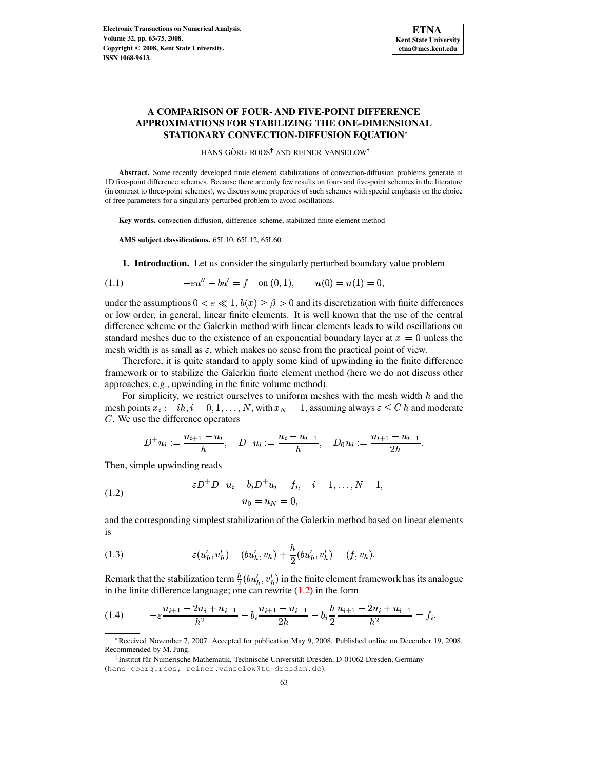# **A COMPARISON OF FOUR- AND FIVE-POINT DIFFERENCE APPROXIMATIONS FOR STABILIZING THE ONE-DIMENSIONAL STATIONARY CONVECTION-DIFFUSION EQUATION**

HANS-GÖRG ROOS<sup>†</sup> AND REINER VANSELOW<sup>†</sup>

**Abstract.** Some recently developed finite element stabilizations of convection-diffusion problems generate in 1D five-point difference schemes. Because there are only few results on four- and five-point schemes in the literature (in contrast to three-point schemes), we discuss some properties of such schemes with special emphasis on the choice of free parameters for a singularly perturbed problem to avoid oscillations.

**Key words.** convection-diffusion, difference scheme, stabilized finite element method

**AMS subject classifications.** 65L10, 65L12, 65L60

**1. Introduction.** Let us consider the singularly perturbed boundary value problem

<span id="page-0-2"></span>(1.1) 
$$
-\varepsilon u'' - bu' = f \quad \text{on } (0,1), \qquad u(0) = u(1) = 0,
$$

under the assumptions  $0 < \varepsilon \ll 1$ ,  $b(x) \ge \beta > 0$  and its discretization with finite differences or low order, in general, linear finite elements. It is well known that the use of the central difference scheme or the Galerkin method with linear elements leads to wild oscillations on standard meshes due to the existence of an exponential boundary layer at  $x = 0$  unless the mesh width is as small as  $\varepsilon$ , which makes no sense from the practical point of view.

Therefore, it is quite standard to apply some kind of upwinding in the finite difference framework or to stabilize the Galerkin finite element method (here we do not discuss other approaches, e.g., upwinding in the finite volume method).

For simplicity, we restrict ourselves to uniform meshes with the mesh width  $h$  and the mesh points  $x_i := ih, i = 0, 1, ..., N$ , with  $x_N = 1$ , assuming always  $\varepsilon \leq C h$  and moderate  $C$ . We use the difference operators

$$
D^+u_i:=\frac{u_{i+1}-u_i}{h}, \quad D^-u_i:=\frac{u_i-u_{i-1}}{h}, \quad D_0u_i:=\frac{u_{i+1}-u_{i-1}}{2h}.
$$

Then, simple upwinding reads

<span id="page-0-0"></span>(1.2) 
$$
-\varepsilon D^{+} D^{-} u_{i} - b_{i} D^{+} u_{i} = f_{i}, \quad i = 1, ..., N - 1,
$$

$$
u_{0} = u_{N} = 0,
$$

and the corresponding simplest stabilization of the Galerkin method based on linear elements is

<span id="page-0-1"></span>(1.3) 
$$
\varepsilon(u'_h, v'_h) - (bu'_h, v_h) + \frac{h}{2}(bu'_h, v'_h) = (f, v_h).
$$

Remark that the stabilization term  $\frac{h}{2}(bu'_h, v'_h)$  in the finite element framework has its analogue in the finite difference language; one can rewrite  $(1.2)$  in the form

<span id="page-0-3"></span>
$$
(1.4) \qquad -\varepsilon \frac{u_{i+1} - 2u_i + u_{i-1}}{h^2} - b_i \frac{u_{i+1} - u_{i-1}}{2h} - b_i \frac{h}{2} \frac{u_{i+1} - 2u_i + u_{i-1}}{h^2} = f_i.
$$

<sup>Q</sup> Received November 7, 2007. Accepted for publication May 9, 2008. Published online on December 19, 2008. Recommended by M. Jung.

<sup>&</sup>lt;sup>†</sup> Institut für Numerische Mathematik, Technische Universität Dresden, D-01062 Dresden, Germany (hans-goerg.roos, reiner.vanselow@tu-dresden.de).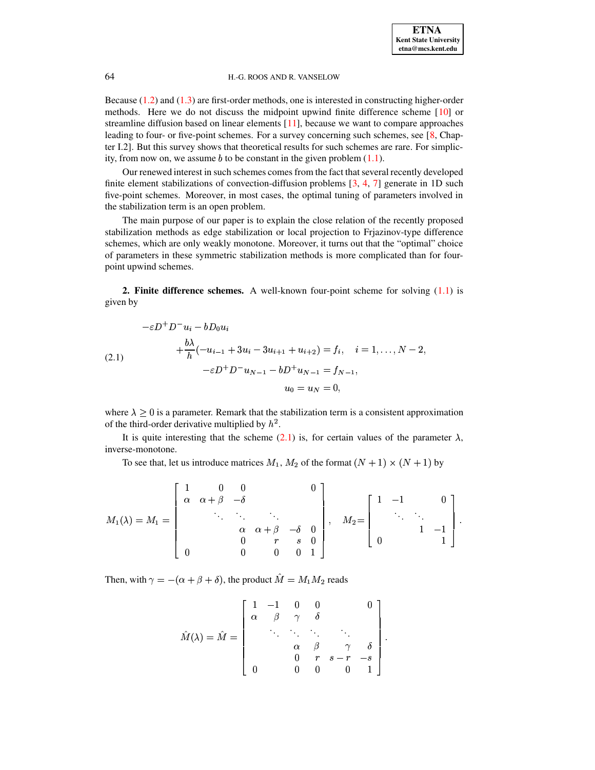## 64 H.-G. ROOS AND R. VANSELOW

Because [\(1.2\)](#page-0-0) and [\(1.3\)](#page-0-1) are first-order methods, one is interested in constructing higher-order methods. Here we do not discuss the midpoint upwind finite difference scheme [\[10\]](#page-12-0) or streamline diffusion based on linear elements [\[11\]](#page-12-1), because we want to compare approaches leading to four- or five-point schemes. For a survey concerning such schemes, see [\[8,](#page-11-0) Chapter I.2]. But this survey shows that theoretical results for such schemes are rare. For simplicity, from now on, we assume  $b$  to be constant in the given problem  $(1.1)$ .

Our renewed interest in such schemes comes from the fact that several recently developed finite element stabilizations of convection-diffusion problems  $[3, 4, 7]$  $[3, 4, 7]$  $[3, 4, 7]$  $[3, 4, 7]$  $[3, 4, 7]$  generate in 1D such five-point schemes. Moreover, in most cases, the optimal tuning of parameters involved in the stabilization term is an open problem.

The main purpose of our paper is to explain the close relation of the recently proposed stabilization methods as edge stabilization or local projection to Frjazinov-type difference schemes, which are only weakly monotone. Moreover, it turns out that the "optimal" choice of parameters in these symmetric stabilization methods is more complicated than for fourpoint upwind schemes.

**2. Finite difference schemes.** A well-known four-point scheme for solving [\(1.1\)](#page-0-2) is given by

<span id="page-1-0"></span>
$$
-\varepsilon D^{+} D^{-} u_{i} - b D_{0} u_{i}
$$
  
+  $\frac{b\lambda}{h} (-u_{i-1} + 3u_{i} - 3u_{i+1} + u_{i+2}) = f_{i}, \quad i = 1, ..., N - 2,$   
- $\varepsilon D^{+} D^{-} u_{N-1} - b D^{+} u_{N-1} = f_{N-1},$   
 $u_{0} = u_{N} = 0,$ 

where  $\lambda \geq 0$  is a parameter. Remark that the stabilization term is a consistent approximation of the third-order derivative multiplied by  $h^2$ .

It is quite interesting that the scheme [\(2.1\)](#page-1-0) is, for certain values of the parameter  $\lambda$ , inverse-monotone.

To see that, let us introduce matrices  $M_1, M_2$  of the format  $(N + 1) \times (N + 1)$  by

$$
M_1(\lambda) = M_1 = \begin{bmatrix} 1 & 0 & 0 & & & 0 \\ \alpha & \alpha + \beta & -\delta & & & \\ & \ddots & \ddots & \ddots & & \\ & & \alpha & \alpha + \beta & -\delta & 0 \\ & & & 0 & r & s & 0 \\ 0 & & 0 & 0 & 0 & 1 \end{bmatrix}, \quad M_2 = \begin{bmatrix} 1 & -1 & & & 0 \\ & \ddots & \ddots & & \\ & & 1 & -1 \\ 0 & & & 1 \end{bmatrix}.
$$

Then, with  $\gamma = -(\alpha + \beta + \delta)$ , the product  $M = M_1 M_2$  reads

$$
\hat{M}(\lambda) = \hat{M} = \begin{bmatrix} 1 & -1 & 0 & 0 & 0 \\ \alpha & \beta & \gamma & \delta & & \\ & \ddots & \ddots & \ddots & \ddots & \\ & & \alpha & \beta & \gamma & \delta \\ & & & 0 & r & s-r & -s \\ 0 & & 0 & 0 & 0 & 1 \end{bmatrix}.
$$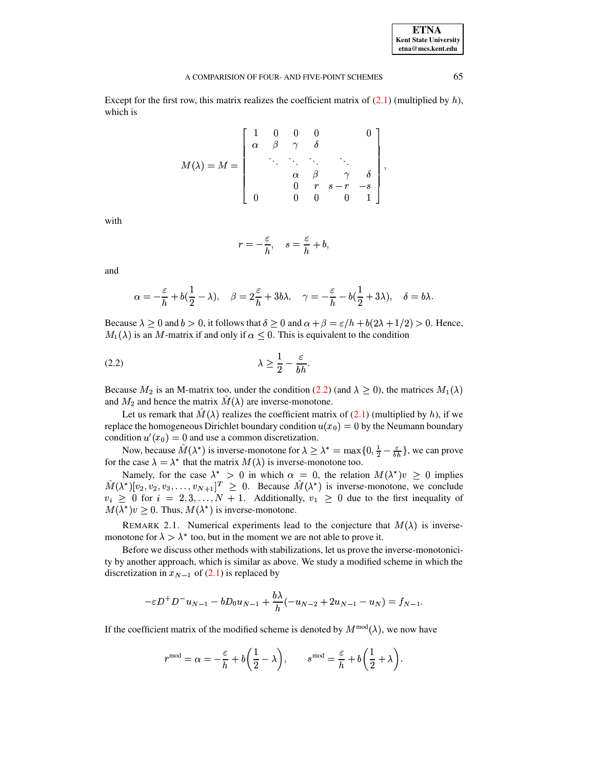## A COMPARISION OF FOUR- AND FIVE-POINT SCHEMES 65

Except for the first row, this matrix realizes the coefficient matrix of  $(2.1)$  (multiplied by h), which is

$$
M(\lambda)=M=\left[\begin{array}{ccccc}1&0&0&0&0\\ \alpha&\beta&\gamma&\delta&\\ &\ddots&\ddots&\ddots&\ddots\\ & &\alpha&\beta&\gamma&\delta\\ & &0&r&s-r&-s\\ 0&0&0&0&1\end{array}\right],
$$

with

$$
r=-\frac{\varepsilon}{h},\quad s=\frac{\varepsilon}{h}+b,
$$

and

$$
\alpha=-\frac{\varepsilon}{h}+b(\frac{1}{2}-\lambda),\quad \beta=2\frac{\varepsilon}{h}+3b\lambda,\quad \gamma=-\frac{\varepsilon}{h}-b(\frac{1}{2}+3\lambda),\quad \delta=b\lambda.
$$

Because  $\lambda \ge 0$  and  $b > 0$ , it follows that  $\delta \ge 0$  and  $\alpha + \beta = \varepsilon/h + b(2\lambda + 1/2) > 0$ . Hence,  $M_1(\lambda)$  is an M-matrix if and only if  $\alpha \leq 0$ . This is equivalent to the condition

<span id="page-2-0"></span>
$$
\lambda \ge \frac{1}{2} - \frac{\varepsilon}{bh}.
$$

Because  $M_2$  is an M-matrix too, under the condition [\(2.2\)](#page-2-0) (and  $\lambda \geq 0$ ), the matrices  $M_1(\lambda)$ and  $M_2$  and hence the matrix  $M(\lambda)$  are inverse-monotone.

Let us remark that  $M(\lambda)$  realizes the coefficient matrix of [\(2.1\)](#page-1-0) (multiplied by h), if we replace the homogeneous Dirichlet boundary condition  $u(x_0) = 0$  by the Neumann boundary condition  $u'(x_0) = 0$  and use a common discretization.

Now, because  $\hat{M}(\lambda^*)$  is inverse-monotone for  $\lambda \geq \lambda^* = \max\{0, \frac{1}{2} - \frac{\varepsilon}{hh}\}\,$ , we can prove for the case  $\lambda = \lambda^*$  that the matrix  $M(\lambda)$  is inverse-monotone too.

Namely, for the case  $\lambda^* > 0$  in which  $\alpha = 0$ , the relation  $M(\lambda^*)v \geq 0$  implies  $\hat{M}(\lambda^*)[v_2, v_2, v_3, \dots, v_{N+1}]^T \geq 0$ . Because  $\hat{M}(\lambda^*)$  is inverse-monotone, we conclude  $v_i \geq 0$  for  $i = 2, 3, ..., N + 1$ . Additionally,  $v_1 \geq 0$  due to the first inequality of  $M(\lambda^*)v \geq 0$ . Thus,  $M(\lambda^*)$  is inverse-monotone.

REMARK 2.1. Numerical experiments lead to the conjecture that  $M(\lambda)$  is inversemonotone for  $\lambda > \lambda^*$  too, but in the moment we are not able to prove it.

Before we discuss other methods with stabilizations, let us prove the inverse-monotonicity by another approach, which is similar as above. We study a modified scheme in which the discretization in  $x_{N-1}$  of [\(2.1\)](#page-1-0) is replaced by

$$
-\varepsilon D^{+}D^{-}u_{N-1} - bD_{0}u_{N-1} + \frac{b\lambda}{h}(-u_{N-2} + 2u_{N-1} - u_{N}) = f_{N-1}.
$$

If the coefficient matrix of the modified scheme is denoted by  $M^{mod}(\lambda)$ , we now have

$$
r^{\text{mod}} = \alpha = -\frac{\varepsilon}{h} + b\bigg(\frac{1}{2} - \lambda\bigg), \qquad s^{\text{mod}} = \frac{\varepsilon}{h} + b\bigg(\frac{1}{2} + \lambda\bigg).
$$

**ETNA Kent State University etna@mcs.kent.edu**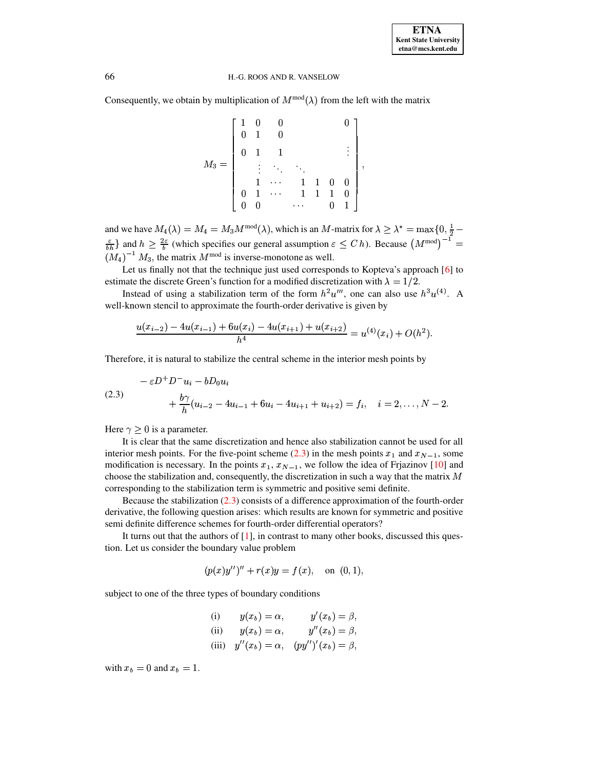### 66 H.-G. ROOS AND R. VANSELOW

Consequently, we obtain by multiplication of  $M^{\text{mod}}(\lambda)$  from the left with the matrix

$$
M_3=\left[\begin{array}{ccccc}1&0&0&&&0\\0&1&0&&&\ddots&\\0&1&1&&&\vdots\\ \vdots&\ddots&\ddots&\ddots&\\1&\cdots&1&1&0&0\\0&1&\cdots&1&1&1&0\\0&0&&\cdots&0&1\end{array}\right],
$$

and we have  $M_4(\lambda) = M_4 = M_3 M^{mod}(\lambda)$ , which is an M-matrix for  $\lambda \geq \lambda^* = \max\{0, \frac{1}{2} - \lambda\}$  $\frac{\varepsilon}{b}$  and  $h \geq \frac{2\varepsilon}{b}$  (which sp  $\cdots$  $\frac{\partial \varepsilon}{\partial h}$  (which specifies our general assumption  $\varepsilon \leq C h$ ). Because  $(M^{\text{mod}})^{-1} =$  $(M_4)^{-1} M_3$ , the matrix  $M^{\text{mod}}$  is inverse-monotone as well.

Let us finally not that the technique just used corresponds to Kopteva's approach [\[6\]](#page-11-4) to estimate the discrete Green's function for a modified discretization with  $\lambda = 1/2$ .

Instead of using a stabilization term of the form  $h^2u''$ , one can also use  $h^3u^{(4)}$ . A well-known stencil to approximate the fourth-order derivative is given by

$$
\frac{u(x_{i-2})-4u(x_{i-1})+6u(x_i)-4u(x_{i+1})+u(x_{i+2})}{h^4}=u^{(4)}(x_i)+O(h^2).
$$

Therefore, it is natural to stabilize the central scheme in the interior mesh points by

<span id="page-3-0"></span>
$$
- \varepsilon D^+ D^- u_i - b D_0 u_i
$$
  
(2.3) 
$$
+ \frac{b\gamma}{h} (u_{i-2} - 4u_{i-1} + 6u_i - 4u_{i+1} + u_{i+2}) = f_i, \quad i = 2, ..., N-2.
$$

Here  $\gamma \geq 0$  is a parameter.

It is clear that the same discretization and hence also stabilization cannot be used for all interior mesh points. For the five-point scheme [\(2.3\)](#page-3-0) in the mesh points  $x_1$  and  $x_{N-1}$ , some modification is necessary. In the points  $x_1, x_{N-1}$ , we follow the idea of Frjazinov [\[10\]](#page-12-0) and choose the stabilization and, consequently, the discretization in such a way that the matrix  $M$ corresponding to the stabilization term is symmetric and positive semi definite.

Because the stabilization [\(2.3\)](#page-3-0) consists of a difference approximation of the fourth-order derivative, the following question arises: which results are known for symmetric and positive semi definite difference schemes for fourth-order differential operators?

It turns out that the authors of [\[1\]](#page-11-5), in contrast to many other books, discussed this question. Let us consider the boundary value problem

$$
(p(x)y'')'' + r(x)y = f(x), \text{ on } (0,1),
$$

subject to one of the three types of boundary conditions

(i) 
$$
y(x_b) = \alpha
$$
,  $y'(x_b) = \beta$ ,  
\n(ii)  $y(x_b) = \alpha$ ,  $y''(x_b) = \beta$ ,  
\n(iii)  $y''(x_b) = \alpha$ ,  $(py'')'(x_b) = \beta$ ,

with  $x_b = 0$  and  $x_b = 1$ .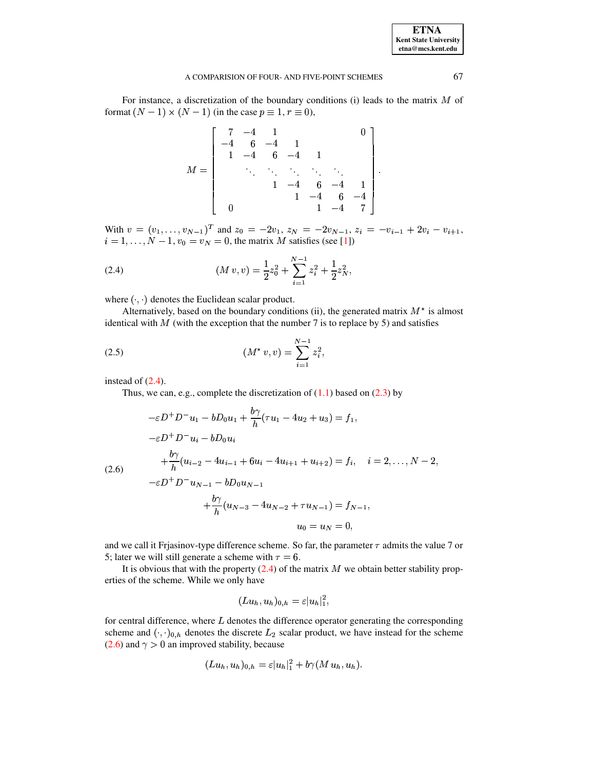#### A COMPARISION OF FOUR- AND FIVE-POINT SCHEMES 67

For instance, a discretization of the boundary conditions (i) leads to the matrix  $M$  of format  $(N - 1) \times (N - 1)$  (in the case  $p \equiv 1, r \equiv 0$ ),

$$
M = \left[\begin{array}{ccccc} 7 & -4 & 1 & & & & 0 \\ -4 & 6 & -4 & 1 & & & \\ 1 & -4 & 6 & -4 & 1 & & \\ & \ddots & \ddots & \ddots & \ddots & \ddots & \\ & & 1 & -4 & 6 & -4 & 1 \\ & & & 1 & -4 & 6 & -4 \\ 0 & & & & 1 & -4 & 7 \end{array}\right].
$$

With  $v = (v_1, \ldots, v_{N-1})^T$  and  $z_0 = -2v_1, z_N = -2v_{N-1}, z_i = -v_{i-1} + 2v_i - v_{i+1}$ ,  $i = 1, \ldots, N - 1, v_0 = v_N = 0$ , the matrix M satisfies (see [\[1\]](#page-11-5))

<span id="page-4-0"></span>(2.4) 
$$
(M v, v) = \frac{1}{2}z_0^2 + \sum_{i=1}^{N-1} z_i^2 + \frac{1}{2}z_N^2,
$$

where  $\langle \cdot, \cdot \rangle$  denotes the Euclidean scalar product.

Alternatively, based on the boundary conditions (ii), the generated matrix  $M^*$  is almost identical with  $M$  (with the exception that the number 7 is to replace by 5) and satisfies

(2.5) 
$$
(M^* v, v) = \sum_{i=1}^{N-1} z_i^2,
$$

instead of  $(2.4)$ .

Thus, we can, e.g., complete the discretization of  $(1.1)$  based on  $(2.3)$  by

<span id="page-4-1"></span>
$$
-\varepsilon D^{+}D^{-}u_{1} - bD_{0}u_{1} + \frac{b\gamma}{h}(\tau u_{1} - 4u_{2} + u_{3}) = f_{1},
$$
  
\n
$$
-\varepsilon D^{+}D^{-}u_{i} - bD_{0}u_{i}
$$
  
\n
$$
+\frac{b\gamma}{h}(u_{i-2} - 4u_{i-1} + 6u_{i} - 4u_{i+1} + u_{i+2}) = f_{i}, \quad i = 2, ..., N-2,
$$
  
\n
$$
-\varepsilon D^{+}D^{-}u_{N-1} - bD_{0}u_{N-1}
$$
  
\n
$$
+\frac{b\gamma}{h}(u_{N-3} - 4u_{N-2} + \tau u_{N-1}) = f_{N-1},
$$
  
\n
$$
u_{0} = u_{N} = 0.
$$

and we call it Frjasinov-type difference scheme. So far, the parameter  $\tau$  admits the value 7 or 5; later we will still generate a scheme with  $\tau = 6$ .

It is obvious that with the property  $(2.4)$  of the matrix M we obtain better stability properties of the scheme. While we only have

$$
(L u_h, u_h)_{0,h} = \varepsilon |u_h|^2_1,
$$

for central difference, where  $L$  denotes the difference operator generating the corresponding scheme and  $(\cdot, \cdot)_{0,h}$  denotes the discrete  $L_2$  scalar product, we have instead for the scheme  $(2.6)$  and  $\gamma > 0$  an improved stability, because

$$
(L u_h, u_h)_{0,h} = \varepsilon |u_h|_1^2 + b\gamma (M u_h, u_h).
$$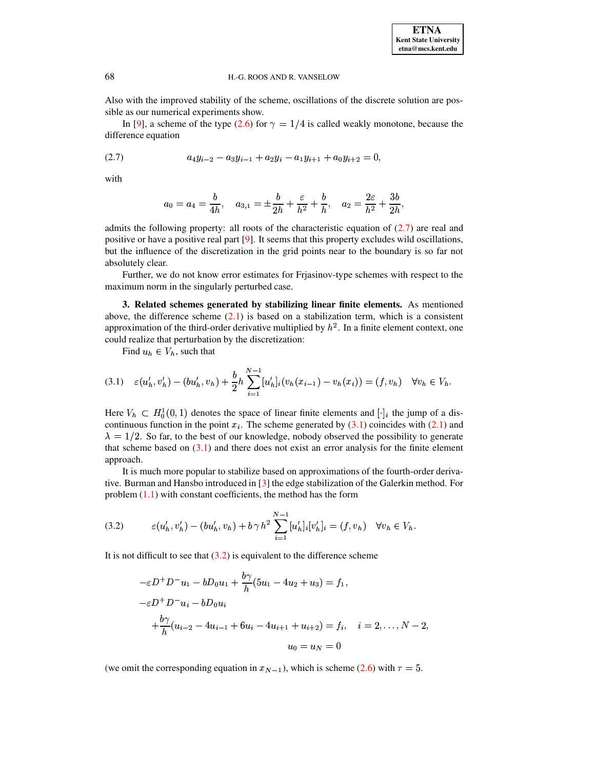**ETNA Kent State University etna@mcs.kent.edu**

#### 68 H.-G. ROOS AND R. VANSELOW

Also with the improved stability of the scheme, oscillations of the discrete solution are possible as our numerical experiments show.

In [\[9\]](#page-11-6), a scheme of the type [\(2.6\)](#page-4-1) for  $\gamma = 1/4$  is called weakly monotone, because the difference equation

<span id="page-5-0"></span>
$$
(2.7) \t a_4y_{i-2}-a_3y_{i-1}+a_2y_i-a_1y_{i+1}+a_0y_{i+2}=0,
$$

with

$$
a_0 = a_4 = \frac{b}{4h}
$$
,  $a_{3,1} = \pm \frac{b}{2h} + \frac{\varepsilon}{h^2} + \frac{b}{h}$ ,  $a_2 = \frac{2\varepsilon}{h^2} + \frac{3b}{2h}$ ,

admits the following property: all roots of the characteristic equation of [\(2.7\)](#page-5-0) are real and positive or have a positive real part [\[9\]](#page-11-6). It seems that this property excludes wild oscillations, but the influence of the discretization in the grid points near to the boundary is so far not absolutely clear.

Further, we do not know error estimates for Frjasinov-type schemes with respect to the maximum norm in the singularly perturbed case.

**3. Related schemes generated by stabilizing linear finite elements.** As mentioned above, the difference scheme  $(2.1)$  is based on a stabilization term, which is a consistent approximation of the third-order derivative multiplied by  $h^2$ . In a finite element context, one could realize that perturbation by the discretization:

Find  $u_h \in V_h$ , such that

<span id="page-5-1"></span>
$$
(3.1) \quad \varepsilon(u'_h, v'_h) - (bu'_h, v_h) + \frac{b}{2}h \sum_{i=1}^{N-1} [u'_h]_i (v_h(x_{i-1}) - v_h(x_i)) = (f, v_h) \quad \forall v_h \in V_h.
$$

Here  $V_h \subset H_0^1(0,1)$  denotes the space of linear finite elements and  $[\cdot]_i$  the jump of a discontinuous function in the point  $x_i$ . The scheme generated by [\(3.1\)](#page-5-1) coincides with [\(2.1\)](#page-1-0) and  $\lambda = 1/2$ . So far, to the best of our knowledge, nobody observed the possibility to generate that scheme based on  $(3.1)$  and there does not exist an error analysis for the finite element approach.

It is much more popular to stabilize based on approximations of the fourth-order derivative. Burman and Hansbo introduced in [\[3\]](#page-11-1) the edge stabilization of the Galerkin method. For problem [\(1.1\)](#page-0-2) with constant coefficients, the method has the form

<span id="page-5-2"></span>(3.2) 
$$
\varepsilon(u'_h, v'_h) - (bu'_h, v_h) + b\gamma h^2 \sum_{i=1}^{N-1} [u'_h]_i [v'_h]_i = (f, v_h) \quad \forall v_h \in V_h.
$$

It is not difficult to see that  $(3.2)$  is equivalent to the difference scheme

$$
-\varepsilon D^{+} D^{-} u_{1} - b D_{0} u_{1} + \frac{b\gamma}{h} (5u_{1} - 4u_{2} + u_{3}) = f_{1},
$$
  

$$
-\varepsilon D^{+} D^{-} u_{i} - b D_{0} u_{i}
$$
  

$$
+ \frac{b\gamma}{h} (u_{i-2} - 4u_{i-1} + 6u_{i} - 4u_{i+1} + u_{i+2}) = f_{i}, \quad i = 2, ..., N - 2,
$$
  

$$
u_{0} = u_{N} = 0
$$

(we omit the corresponding equation in  $x_{N-1}$ ), which is scheme [\(2.6\)](#page-4-1) with  $\tau = 5$ .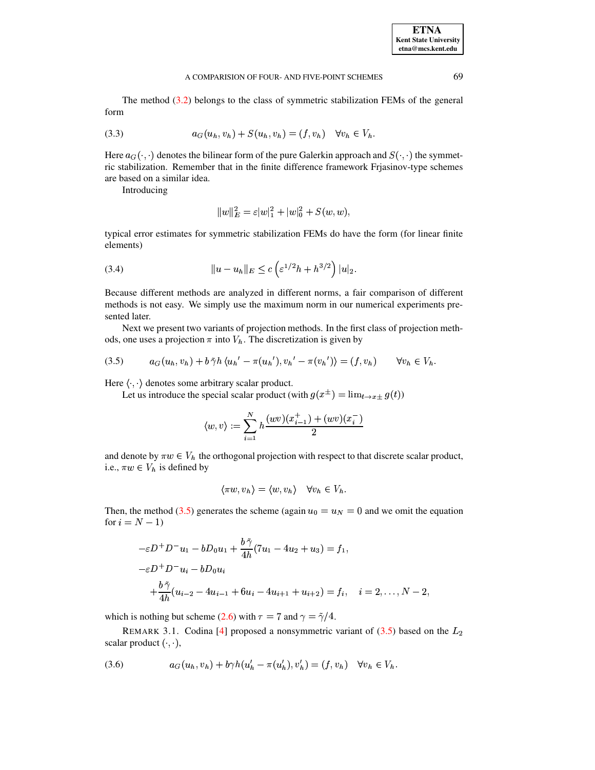The method  $(3.2)$  belongs to the class of symmetric stabilization FEMs of the general form

(3.3) 
$$
a_G(u_h, v_h) + S(u_h, v_h) = (f, v_h) \quad \forall v_h \in V_h.
$$

Here  $a_G(\cdot, \cdot)$  denotes the bilinear form of the pure Galerkin approach and  $S(\cdot, \cdot)$  the symmetric stabilization. Remember that in the finite difference framework Friasinov-type schemes are based on a similar idea.

Introducing

$$
||w||_E^2 = \varepsilon |w|_1^2 + |w|_0^2 + S(w, w),
$$

typical error estimates for symmetric stabilization FEMs do have the form (for linear finite elements)

(3.4) 
$$
||u - u_h||_E \le c \left( \varepsilon^{1/2} h + h^{3/2} \right) |u|_2.
$$

Because different methods are analyzed in different norms, a fair comparison of different methods is not easy. We simply use the maximum norm in our numerical experiments presented later.

Next we present two variants of projection methods. In the first class of projection methods, one uses a projection  $\pi$  into  $V_h$ . The discretization is given by

<span id="page-6-0"></span>
$$
(3.5) \qquad a_G(u_h, v_h) + b \tilde{\gamma} h \langle u_h' - \pi(u_h'), v_h' - \pi(v_h') \rangle = (f, v_h) \qquad \forall v_h \in V_h.
$$

Here  $\langle \cdot, \cdot \rangle$  denotes some arbitrary scalar product.

Let us introduce the special scalar product (with  $g(x^{\pm}) = \lim_{t \to x^{\pm}} g(t)$ )

$$
\langle w, v \rangle := \sum_{i=1}^N h \frac{(wv)(x_{i-1}^+) + (wv)(x_i^-)}{2}
$$

and denote by  $\pi w \in V_h$  the orthogonal projection with respect to that discrete scalar product, i.e.,  $\pi w \in V_h$  is defined by

$$
\langle \pi w, v_h \rangle = \langle w, v_h \rangle \quad \forall v_h \in V_h.
$$

Then, the method (3.5) generates the scheme (again  $u_0 = u_N = 0$  and we omit the equation for  $i = N - 1$ 

$$
-\varepsilon D^{+} D^{-} u_{1} - b D_{0} u_{1} + \frac{b \tilde{\gamma}}{4h} (7u_{1} - 4u_{2} + u_{3}) = f_{1},
$$
  

$$
-\varepsilon D^{+} D^{-} u_{i} - b D_{0} u_{i}
$$
  

$$
+ \frac{b \tilde{\gamma}}{4h} (u_{i-2} - 4u_{i-1} + 6u_{i} - 4u_{i+1} + u_{i+2}) = f_{i}, \quad i = 2, ..., N - 2
$$

which is nothing but scheme (2.6) with  $\tau = 7$  and  $\gamma = \frac{\gamma}{4}$ .

REMARK 3.1. Codina [4] proposed a nonsymmetric variant of  $(3.5)$  based on the  $L_2$ scalar product  $(\cdot, \cdot)$ ,

<span id="page-6-1"></span>
$$
(3.6) \t a_G(u_h, v_h) + b\gamma h(u'_h - \pi(u'_h), v'_h) = (f, v_h) \quad \forall v_h \in V_h.
$$

**ETNA Kent State University**  $etna@mcs. kent.edu$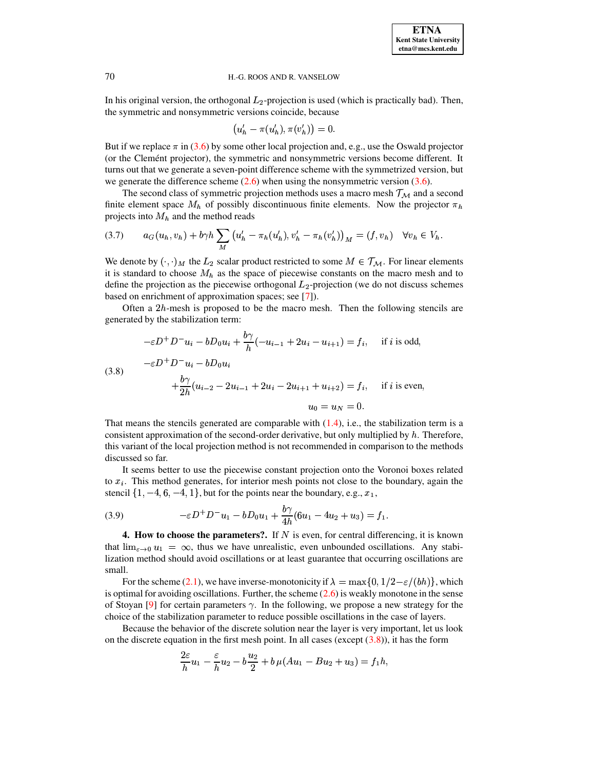#### 70 H.-G. ROOS AND R. VANSELOW

In his original version, the orthogonal  $L_2$ -projection is used (which is practically bad). Then, the symmetric and nonsymmetric versions coincide, because

$$
(u'_h - \pi(u'_h), \pi(v'_h)) = 0.
$$

But if we replace  $\pi$  in [\(3.6\)](#page-6-1) by some other local projection and, e.g., use the Oswald projector (or the Clement projector), the symmetric and nonsymmetric versions become different. It turns out that we generate a seven-point difference scheme with the symmetrized version, but we generate the difference scheme  $(2.6)$  when using the nonsymmetric version  $(3.6)$ .

The second class of symmetric projection methods uses a macro mesh  $\mathcal{T}_{\mathcal{M}}$  and a second finite element space  $M_h$  of possibly discontinuous finite elements. Now the projector  $\pi_h$ projects into  $M_h$  and the method reads

(3.7) 
$$
a_G(u_h, v_h) + b\gamma h \sum_M (u'_h - \pi_h(u'_h), v'_h - \pi_h(v'_h))_M = (f, v_h) \quad \forall v_h \in V_h.
$$

We denote by  $(\cdot, \cdot)_M$  the  $L_2$  scalar product restricted to some  $M \in \mathcal{T}_M$ . For linear elements it is standard to choose  $M_h$  as the space of piecewise constants on the macro mesh and to define the projection as the piecewise orthogonal  $L_2$ -projection (we do not discuss schemes based on enrichment of approximation spaces; see [\[7\]](#page-11-3)).

Often a  $2h$ -mesh is proposed to be the macro mesh. Then the following stencils are generated by the stabilization term:

<span id="page-7-0"></span>
$$
-\varepsilon D^{+} D^{-} u_{i} - b D_{0} u_{i} + \frac{b\gamma}{h} (-u_{i-1} + 2u_{i} - u_{i+1}) = f_{i}, \quad \text{if } i \text{ is odd},
$$
  
(3.8)  

$$
-\varepsilon D^{+} D^{-} u_{i} - b D_{0} u_{i}
$$
  

$$
+ \frac{b\gamma}{2h} (u_{i-2} - 2u_{i-1} + 2u_{i} - 2u_{i+1} + u_{i+2}) = f_{i}, \quad \text{if } i \text{ is even},
$$
  

$$
u_{0} = u_{N} = 0.
$$

That means the stencils generated are comparable with  $(1.4)$ , i.e., the stabilization term is a consistent approximation of the second-order derivative, but only multiplied by  $h$ . Therefore, this variant of the local projection method is not recommended in comparison to the methods discussed so far.

It seems better to use the piecewise constant projection onto the Voronoi boxes related to  $x_i$ . This method generates, for interior mesh points not close to the boundary, again the stencil  $\{1, -4, 6, -4, 1\}$ , but for the points near the boundary, e.g.,  $x_1$ ,

(3.9) 
$$
-\varepsilon D^+ D^- u_1 - b D_0 u_1 + \frac{b\gamma}{4h} (6u_1 - 4u_2 + u_3) = f_1.
$$

e a construction and the construction of the construction of the construction of the construction of the construction of the construction of the construction of the construction of the construction of the construction of t

**4.** How to choose the parameters?. If  $N$  is even, for central differencing, it is known that  $\lim_{\varepsilon \to 0} u_1 = \infty$ , thus we have unrealistic, even unbounded oscillations. Any stabilization method should avoid oscillations or at least guarantee that occurring oscillations are small.

For the scheme [\(2.1\)](#page-1-0), we have inverse-monotonicity if  $\lambda = \max\{0, 1/2 - \varepsilon/(bh)\}\,$ , which is optimal for avoiding oscillations. Further, the scheme  $(2.6)$  is weakly monotone in the sense of Stoyan [\[9\]](#page-11-6) for certain parameters  $\gamma$ . In the following, we propose a new strategy for the choice of the stabilization parameter to reduce possible oscillations in the case of layers.

Because the behavior of the discrete solution near the layer is very important, let us look on the discrete equation in the first mesh point. In all cases (except  $(3.8)$ ), it has the form

$$
\frac{2\varepsilon}{h}u_1 - \frac{\varepsilon}{h}u_2 - b\frac{u_2}{2} + b\,\mu(Au_1 - Bu_2 + u_3) = f_1h,
$$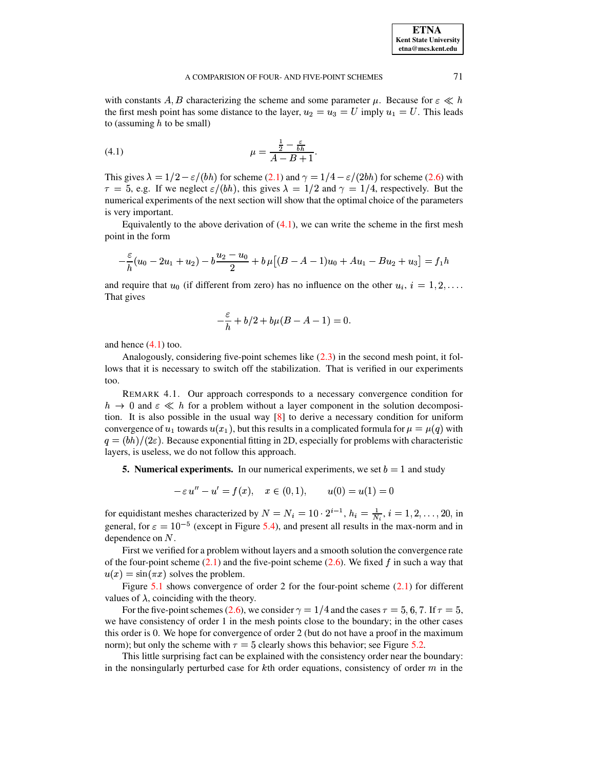with constants A, B characterizing the scheme and some parameter  $\mu$ . Because for  $\varepsilon \ll h$ the first mesh point has some distance to the layer,  $u_2 = u_3 = U$  imply  $u_1 = U$ . This leads to (assuming  $h$  to be small)

<span id="page-8-0"></span>(4.1) 
$$
\mu = \frac{\frac{1}{2} - \frac{\varepsilon}{bh}}{A - B + 1}
$$

This gives  $\lambda = 1/2 - \varepsilon/(bh)$  for scheme (2.1) and  $\gamma = 1/4 - \varepsilon/(2bh)$  for scheme (2.6) with  $\tau = 5$ , e.g. If we neglect  $\varepsilon/(bh)$ , this gives  $\lambda = 1/2$  and  $\gamma = 1/4$ , respectively. But the numerical experiments of the next section will show that the optimal choice of the parameters is very important.

Equivalently to the above derivation of  $(4.1)$ , we can write the scheme in the first mesh point in the form

$$
-\frac{\varepsilon}{h}(u_0 - 2u_1 + u_2) - b\frac{u_2 - u_0}{2} + b\,\mu\big[(B - A - 1)u_0 + Au_1 - Bu_2 + u_3\big] = f_1h
$$

and require that  $u_0$  (if different from zero) has no influence on the other  $u_i$ ,  $i = 1, 2, \ldots$ That gives

$$
-\frac{\varepsilon}{h} + b/2 + b\mu(B - A - 1) = 0.
$$

and hence  $(4.1)$  too.

Analogously, considering five-point schemes like  $(2.3)$  in the second mesh point, it follows that it is necessary to switch off the stabilization. That is verified in our experiments too.

REMARK 4.1. Our approach corresponds to a necessary convergence condition for  $h \to 0$  and  $\varepsilon \ll h$  for a problem without a layer component in the solution decomposition. It is also possible in the usual way  $[8]$  to derive a necessary condition for uniform convergence of  $u_1$  towards  $u(x_1)$ , but this results in a complicated formula for  $\mu = \mu(q)$  with  $q = (bh)/(2\varepsilon)$ . Because exponential fitting in 2D, especially for problems with characteristic layers, is useless, we do not follow this approach.

**5. Numerical experiments.** In our numerical experiments, we set  $b = 1$  and study

$$
-\varepsilon u'' - u' = f(x), \quad x \in (0, 1), \qquad u(0) = u(1) = 0
$$

for equidistant meshes characterized by  $N = N_i = 10 \cdot 2^{i-1}$ ,  $h_i = \frac{1}{N_i}$ ,  $i = 1, 2, ..., 20$ , in general, for  $\varepsilon = 10^{-5}$  (except in Figure 5.4), and present all results in the max-norm and in dependence on  $N$ .

First we verified for a problem without layers and a smooth solution the convergence rate of the four-point scheme  $(2.1)$  and the five-point scheme  $(2.6)$ . We fixed f in such a way that  $u(x) = \sin(\pi x)$  solves the problem.

Figure 5.1 shows convergence of order 2 for the four-point scheme  $(2.1)$  for different values of  $\lambda$ , coinciding with the theory.

For the five-point schemes (2.6), we consider  $\gamma = 1/4$  and the cases  $\tau = 5, 6, 7$ . If  $\tau = 5$ , we have consistency of order 1 in the mesh points close to the boundary; in the other cases this order is 0. We hope for convergence of order 2 (but do not have a proof in the maximum norm); but only the scheme with  $\tau = 5$  clearly shows this behavior; see Figure 5.2.

This little surprising fact can be explained with the consistency order near the boundary: in the nonsingularly perturbed case for  $k$ th order equations, consistency of order  $m$  in the

71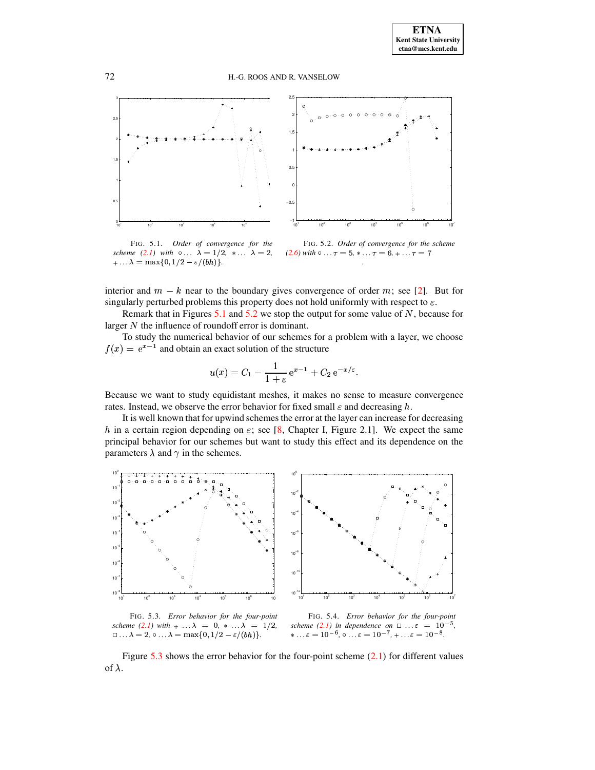



<span id="page-9-1"></span>FIG. 5.1. Order of convergence for the *scheme* (2.1) *with*  $\circ \dots \lambda = 1/2, * \dots \lambda = 2$ ,  $+\ldots \lambda = \max\{0, 1/2 - \varepsilon/(bh)\}.$ 

<span id="page-9-2"></span>FIG. 5.2. Order of convergence for the scheme  $(2.6)$  with  $\circ \dots \tau = 5, * \dots \tau = 6, + \dots \tau = 7$ 

interior and  $m - k$  near to the boundary gives convergence of order m; see [2]. But for singularly perturbed problems this property does not hold uniformly with respect to  $\varepsilon$ .

Remark that in Figures 5.1 and 5.2 we stop the output for some value of  $N$ , because for larger  $N$  the influence of roundoff error is dominant.

To study the numerical behavior of our schemes for a problem with a layer, we choose  $f(x) = e^{x-1}$  and obtain an exact solution of the structure

$$
u(x) = C_1 - \frac{1}{1+\varepsilon} e^{x-1} + C_2 e^{-x/\varepsilon}
$$

Because we want to study equidistant meshes, it makes no sense to measure convergence rates. Instead, we observe the error behavior for fixed small  $\varepsilon$  and decreasing h.

It is well known that for upwind schemes the error at the layer can increase for decreasing h in a certain region depending on  $\varepsilon$ ; see [8, Chapter I, Figure 2.1]. We expect the same principal behavior for our schemes but want to study this effect and its dependence on the parameters  $\lambda$  and  $\gamma$  in the schemes.



<span id="page-9-3"></span>FIG. 5.3. Error behavior for the four-point scheme (2.1) with  $+ \ldots \lambda = 0, * \ldots \lambda = 1/2$ ,  $\Box \ldots \lambda = 2, \circ \ldots \lambda = \max\{0, 1/2 - \varepsilon/(bh)\}.$ 

<span id="page-9-0"></span>FIG. 5.4. Error behavior for the four-point scheme (2.1) in dependence on  $\Box \ldots \varepsilon = 10^{-5}$ , \* ...  $\varepsilon = 10^{-6}$ , o ...  $\varepsilon = 10^{-7}$ , + ...  $\varepsilon = 10^{-8}$ .

Figure 5.3 shows the error behavior for the four-point scheme  $(2.1)$  for different values of  $\lambda$ .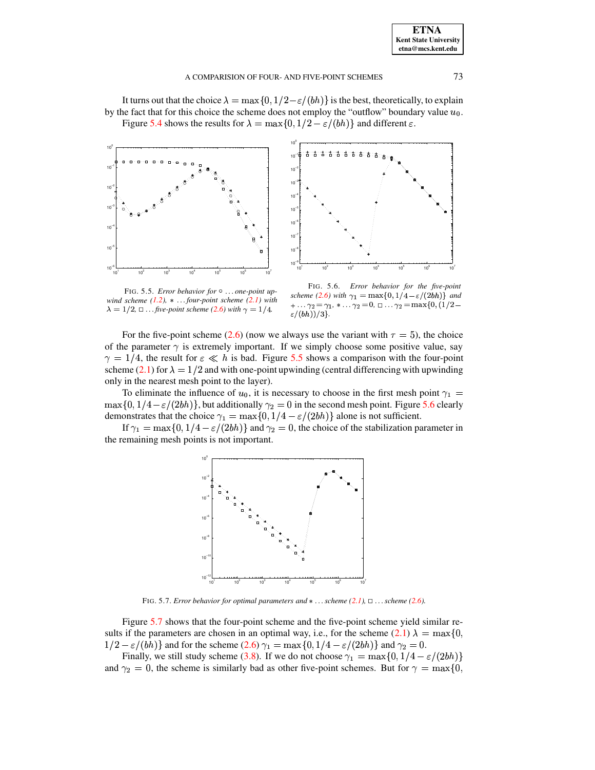It turns out that the choice  $\lambda = \max\{0, 1/2 - \varepsilon/(bh)\}\$ is the best, theoretically, to explain by the fact that for this choice the scheme does not employ the "outflow" boundary value  $u_0$ . Figure 5.4 shows the results for  $\lambda = \max\{0, 1/2 - \varepsilon/(bh)\}\$  and different  $\varepsilon$ .





<span id="page-10-0"></span>FIG. 5.5. Error behavior for  $\circ \dots$  one-point upwind scheme  $(1.2)$ ,  $*...$  four-point scheme  $(2.1)$  with  $\lambda = 1/2$ ,  $\Box$  ... five-point scheme (2.6) with  $\gamma = 1/4$ .

<span id="page-10-1"></span>FIG. 5.6. Error behavior for the five-point scheme (2.6) with  $\gamma_1 = \max\{0, 1/4 - \varepsilon/(2bh)\}\$  and + . . .  $\gamma_2 = \gamma_1, * \ldots \gamma_2 = 0, \Box \ldots \gamma_2 = \max\{0, (1/2 \varepsilon/(bh))/3$ .

For the five-point scheme (2.6) (now we always use the variant with  $\tau = 5$ ), the choice of the parameter  $\gamma$  is extremely important. If we simply choose some positive value, say  $\gamma = 1/4$ , the result for  $\varepsilon \ll h$  is bad. Figure 5.5 shows a comparison with the four-point scheme (2.1) for  $\lambda = 1/2$  and with one-point upwinding (central differencing with upwinding only in the nearest mesh point to the layer).

To eliminate the influence of  $u_0$ , it is necessary to choose in the first mesh point  $\gamma_1$  =  $\max\{0, 1/4 - \varepsilon/(2bh)\}\$ , but additionally  $\gamma_2 = 0$  in the second mesh point. Figure 5.6 clearly demonstrates that the choice  $\gamma_1 = \max\{0, 1/4 - \varepsilon/(2bh)\}\$  alone is not sufficient.

If  $\gamma_1 = \max\{0, 1/4 - \varepsilon/(2bh)\}\$  and  $\gamma_2 = 0$ , the choice of the stabilization parameter in the remaining mesh points is not important.



FIG. 5.7. Error behavior for optimal parameters and  $*...$  scheme (2.1),  $\Box ...$  scheme (2.6).

<span id="page-10-2"></span>Figure 5.7 shows that the four-point scheme and the five-point scheme yield similar results if the parameters are chosen in an optimal way, i.e., for the scheme  $(2.1) \lambda = \max\{0,$  $1/2 - \varepsilon/(bh)$ } and for the scheme (2.6)  $\gamma_1 = \max\{0, 1/4 - \varepsilon/(2bh)\}\$  and  $\gamma_2 = 0$ .

Finally, we still study scheme (3.8). If we do not choose  $\gamma_1 = \max\{0, 1/4 - \varepsilon/(2bh)\}\$ and  $\gamma_2 = 0$ , the scheme is similarly bad as other five-point schemes. But for  $\gamma = \max\{0,$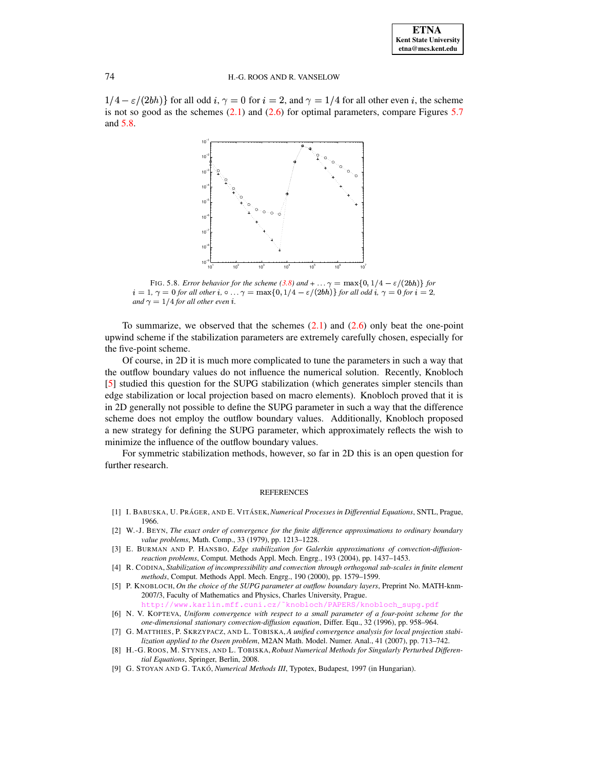**ETNA Kent State University etna@mcs.kent.edu**

## 74 H.-G. ROOS AND R. VANSELOW

 $1/4 - \varepsilon/(2bh)$  for all odd  $i, \gamma = 0$  for  $i = 2$ , and  $\gamma = 1/4$  for all other even i, the scheme is not so good as the schemes  $(2.1)$  and  $(2.6)$  for optimal parameters, compare Figures  $5.7$ and [5.8.](#page-11-8)



<span id="page-11-8"></span>FIG. 5.8. *Error behavior for the scheme* [\(3.8\)](#page-7-0) and  $+ \ldots \gamma = \max\{0, 1/4 - \varepsilon/(2bh)\}\$  for  $i = 1, \gamma = 0$  for all other i,  $\circ \ldots \gamma = \max\{0, 1/4 - \varepsilon/(2bh)\}$  for all odd i,  $\gamma = 0$  for  $i = 2$ , *and*  $\gamma = 1/4$  *for all other even i*.

To summarize, we observed that the schemes [\(2.1\)](#page-1-0) and [\(2.6\)](#page-4-1) only beat the one-point upwind scheme if the stabilization parameters are extremely carefully chosen, especially for the five-point scheme.

Of course, in 2D it is much more complicated to tune the parameters in such a way that the outflow boundary values do not influence the numerical solution. Recently, Knobloch [\[5\]](#page-11-9) studied this question for the SUPG stabilization (which generates simpler stencils than edge stabilization or local projection based on macro elements). Knobloch proved that it is in 2D generally not possible to define the SUPG parameter in such a way that the difference scheme does not employ the outflow boundary values. Additionally, Knobloch proposed a new strategy for defining the SUPG parameter, which approximately reflects the wish to minimize the influence of the outflow boundary values.

For symmetric stabilization methods, however, so far in 2D this is an open question for further research.

#### REFERENCES

- <span id="page-11-7"></span><span id="page-11-5"></span>[1] I. BABUSKA, U. PRA´ GER, AND E. VITA´ SEK,*Numerical Processes in Differential Equations*, SNTL, Prague, 1966.
- <span id="page-11-1"></span>[2] W.-J. BEYN, *The exact order of convergence for the finite difference approximations to ordinary boundary value problems*, Math. Comp., 33 (1979), pp. 1213–1228.
- [3] E. BURMAN AND P. HANSBO, *Edge stabilization for Galerkin approximations of convection-diffusionreaction problems*, Comput. Methods Appl. Mech. Engrg., 193 (2004), pp. 1437–1453.
- <span id="page-11-2"></span>[4] R. CODINA, *Stabilization of incompressibility and convection through orthogonal sub-scales in finite element methods*, Comput. Methods Appl. Mech. Engrg., 190 (2000), pp. 1579–1599.
- <span id="page-11-9"></span>[5] P. KNOBLOCH, *On the choice of the SUPG parameter at outflow boundary layers*, Preprint No. MATH-knm-2007/3, Faculty of Mathematics and Physics, Charles University, Prague. http://www.mff.cuni.cz/~knobloch/PAPERS/knobloch\_supg.pdf
- <span id="page-11-4"></span>[6] N. V. KOPTEVA, *Uniform convergence with respect to a small parameter of a four-point scheme for the one-dimensional stationary convection-diffusion equation*, Differ. Equ., 32 (1996), pp. 958–964.
- <span id="page-11-3"></span>[7] G. MATTHIES, P. SKRZYPACZ, AND L. TOBISKA, *A unified convergence analysis for local projection stabilization applied to the Oseen problem*, M2AN Math. Model. Numer. Anal., 41 (2007), pp. 713–742.
- <span id="page-11-0"></span>[8] H.-G. ROOS, M. STYNES, AND L. TOBISKA, *Robust Numerical Methods for Singularly Perturbed Differential Equations*, Springer, Berlin, 2008.
- <span id="page-11-6"></span>[9] G. STOYAN AND G. TAKO´, *Numerical Methods III*, Typotex, Budapest, 1997 (in Hungarian).